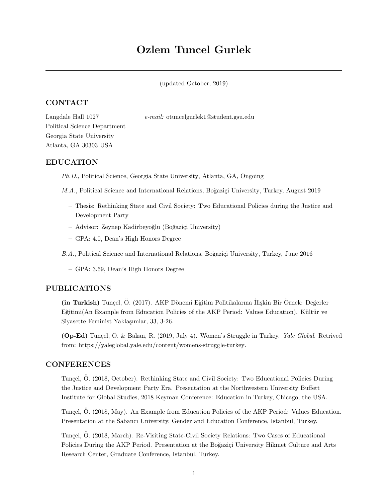# Ozlem Tuncel Gurlek

(updated October, 2019)

# CONTACT

Langdale Hall 1027 e-mail: [otuncelgurlek1@student.gsu.edu](mailto:otuncelgurlek1@student.gsu.edu)

Political Science Department Georgia State University Atlanta, GA 30303 USA

# EDUCATION

Ph.D., [Political Science,](https://politicalscience.gsu.edu/) [Georgia State University,](https://www.gsu.edu/) Atlanta, GA, Ongoing

M.A., [Political Science and International Relations,](https://pols.boun.edu.tr/) Boğaziçi University, Turkey, August 2019

- Thesis: [Rethinking State and Civil Society: Two Educational Policies during the Justice and](https://bit.ly/32MUt5a) [Development Party](https://bit.ly/32MUt5a)
- Advisor: Zeynep Kadirbeyoğlu (Boğaziçi University)
- GPA: 4.0, Dean's High Honors Degree

B.A., [Political Science and International Relations,](https://pols.boun.edu.tr/) Boğaziçi University, Turkey, June 2016

– GPA: 3.69, Dean's High Honors Degree

# PUBLICATIONS

(in Turkish) Tunçel, Ö. (2017). AKP Dönemi Eğitim Politikalarına İlişkin Bir Örnek: Değerler Eğitimi(An Example from Education Policies of the AKP Period: Values Education). Kültür ve Siyasette Feminist Yaklaşımlar, 33, 3-26.

(Op-Ed) Tunçel, Ö. & Bakan, R. (2019, July 4). Women's Struggle in Turkey. Yale Global. Retrived from: [https://yaleglobal.yale.edu/content/womens-struggle-turkey.](https://yaleglobal.yale.edu/content/womens-struggle-turkey)

# CONFERENCES

Tunçel, Ö. (2018, October). Rethinking State and Civil Society: Two Educational Policies During the Justice and Development Party Era. Presentation at the Northwestern University Buffett Institute for Global Studies, 2018 Keyman Conference: Education in Turkey, Chicago, the USA.

Tunçel, Ö. (2018, May). An Example from Education Policies of the AKP Period: Values Education. Presentation at the Sabancı University, Gender and Education Conference, Istanbul, Turkey.

Tunçel, Ö. (2018, March). Re-Visiting State-Civil Society Relations: Two Cases of Educational Policies During the AKP Period. Presentation at the Boğaziçi University Hikmet Culture and Arts Research Center, Graduate Conference, Istanbul, Turkey.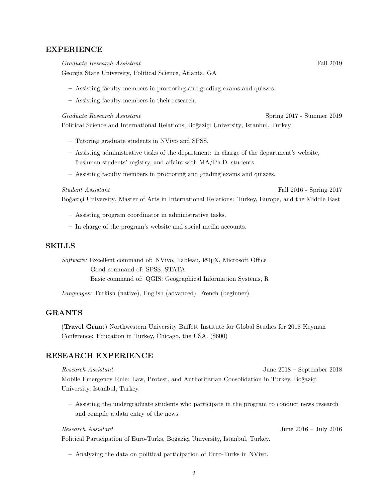### EXPERIENCE

Graduate Research Assistant Fall 2019

[Georgia State University,](https://www.gsu.edu/) [Political Science,](https://politicalscience.gsu.edu/) Atlanta, GA

- Assisting faculty members in proctoring and grading exams and quizzes.
- Assisting faculty members in their research.

Graduate Research Assistant Spring 2017 - Summer 2019

[Political Science and International Relations,](https://pols.boun.edu.tr/) Boğaziçi University, Istanbul, Turkey

- Tutoring graduate students in NVivo and SPSS.
- Assisting administrative tasks of the department: in charge of the department's website, freshman students' registry, and affairs with MA/Ph.D. students.
- Assisting faculty members in proctoring and grading exams and quizzes.

#### Student Assistant Fall 2016 - Spring 2017

Boğaziçi University, [Master of Arts in International Relations: Turkey, Europe, and the Middle East](https://mir.boun.edu.tr/)

- Assisting program coordinator in administrative tasks.
- In charge of the program's website and social media accounts.

#### SKILLS

Software: Excellent command of: NVivo, Tableau, L<sup>AT</sup>FX, Microsoft Office Good command of: SPSS, STATA Basic command of: QGIS: Geographical Information Systems, R

Languages: Turkish (native), English (advanced), French (beginner).

### GRANTS

(Travel Grant) Northwestern University Buffett Institute for Global Studies for 2018 Keyman Conference: Education in Turkey, Chicago, the USA. (\$600)

## RESEARCH EXPERIENCE

Research Assistant June 2018 – September 2018 Mobile Emergency Rule: Law, Protest, and Authoritarian Consolidation in Turkey, Boğaziçi University, Istanbul, Turkey.

– Assisting the undergraduate students who participate in the program to conduct news research and compile a data entry of the news.

Political Participation of Euro-Turks, Boğaziçi University, Istanbul, Turkey.

– Analyzing the data on political participation of Euro-Turks in NVivo.

Research Assistant June 2016 – July 2016